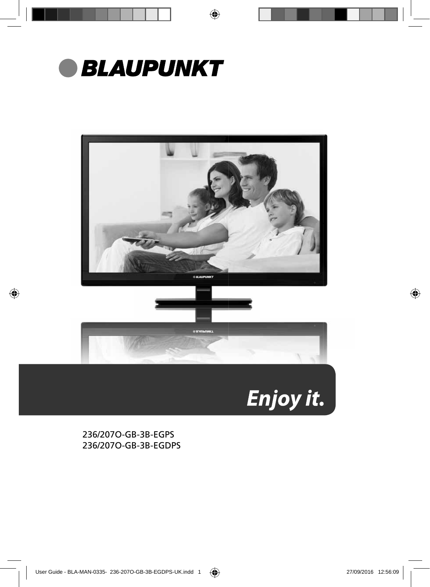



◈

236/207O-GB-3B-EGPS 236/207O-GB-3B-EGDPS

⊕

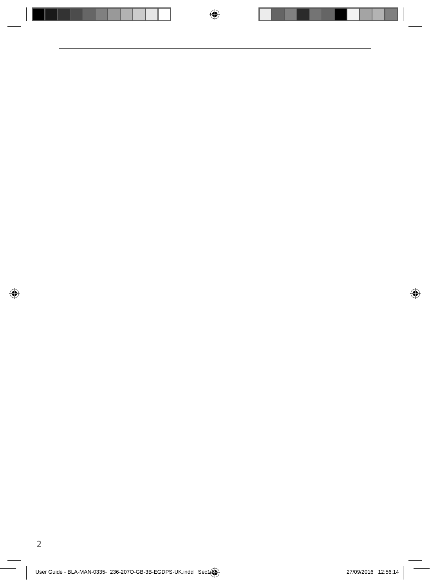

 $\bigoplus$ 

 $\bigoplus$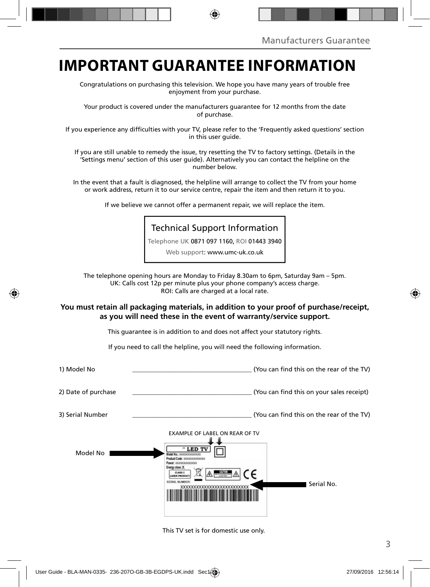## **IMPORTANT GUARANTEE INFORMATION**

Congratulations on purchasing this television. We hope you have many years of trouble free enjoyment from your purchase.

Your product is covered under the manufacturers guarantee for 12 months from the date of purchase.

If you experience any difficulties with your TV, please refer to the 'Frequently asked questions' section in this user guide.

If you are still unable to remedy the issue, try resetting the TV to factory settings. (Details in the 'Settings menu' section of this user guide). Alternatively you can contact the helpline on the number below.

In the event that a fault is diagnosed, the helpline will arrange to collect the TV from your home or work address, return it to our service centre, repair the item and then return it to you.

If we believe we cannot offer a permanent repair, we will replace the item.

## Technical Support Information

Telephone UK 0871 097 1160, ROI 01443 3940

Web support: www.umc-uk.co.uk

The telephone opening hours are Monday to Friday 8.30am to 6pm, Saturday 9am – 5pm. UK: Calls cost 12p per minute plus your phone company's access charge. ROI: Calls are charged at a local rate.

#### **You must retain all packaging materials, in addition to your proof of purchase/receipt, as you will need these in the event of warranty/service support.**

This guarantee is in addition to and does not affect your statutory rights.

If you need to call the helpline, you will need the following information.

1) Model No \_\_\_\_\_\_\_\_\_\_\_\_\_\_\_\_\_\_\_\_\_\_\_\_\_\_\_\_\_\_\_\_\_\_\_\_\_\_ (You can fi nd this on the rear of the TV)

2) Date of purchase **Late of purchase**  $($ You can find this on your sales receipt)

Model No

3) Serial Number \_\_\_\_\_\_\_\_\_\_\_\_\_\_\_\_\_\_\_\_\_\_\_\_\_\_\_\_\_\_\_\_\_\_\_\_\_\_ (You can fi nd this on the rear of the TV)



EXAMPLE OF LABEL ON REAR OF TV

" LED TV Product Code: 1000000000000

This TV set is for domestic use only.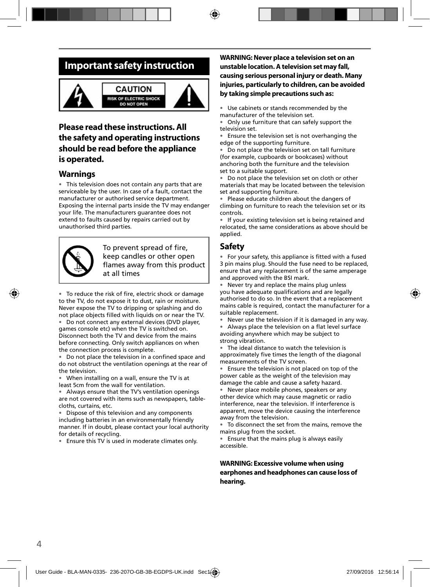## **Important safety instruction**



## **Please read these instructions. All the safety and operating instructions should be read before the appliance is operated.**

#### **Warnings**

• This television does not contain any parts that are serviceable by the user. In case of a fault, contact the manufacturer or authorised service department. Exposing the internal parts inside the TV may endanger your life. The manufacturers guarantee does not extend to faults caused by repairs carried out by unauthorised third parties.



To prevent spread of fire, keep candles or other open flames away from this product at all times

• To reduce the risk of fire, electric shock or damage to the TV, do not expose it to dust, rain or moisture. Never expose the TV to dripping or splashing and do not place objects filled with liquids on or near the TV. • Do not connect any external devices (DVD player, games console etc) when the TV is switched on. Disconnect both the TV and device from the mains before connecting. Only switch appliances on when the connection process is complete.

Do not place the television in a confined space and do not obstruct the ventilation openings at the rear of the television.

• When installing on a wall, ensure the TV is at least 5cm from the wall for ventilation.

• Always ensure that the TV's ventilation openings are not covered with items such as newspapers, tablecloths, curtains, etc.

• Dispose of this television and any components including batteries in an environmentally friendly manner. If in doubt, please contact your local authority for details of recycling.

• Ensure this TV is used in moderate climates only.

#### **WARNING: Never place a television set on an unstable location. A television set may fall, causing serious personal injury or death. Many injuries, particularly to children, can be avoided by taking simple precautions such as:**

Use cabinets or stands recommended by the manufacturer of the television set.

• Only use furniture that can safely support the television set.

• Ensure the television set is not overhanging the edge of the supporting furniture.

• Do not place the television set on tall furniture (for example, cupboards or bookcases) without anchoring both the furniture and the television set to a suitable support.

• Do not place the television set on cloth or other materials that may be located between the television set and supporting furniture.

Please educate children about the dangers of climbing on furniture to reach the television set or its controls.

• If your existing television set is being retained and relocated, the same considerations as above should be applied.

#### **Safety**

• For your safety, this appliance is fitted with a fused 3 pin mains plug. Should the fuse need to be replaced, ensure that any replacement is of the same amperage and approved with the BSI mark.

• Never try and replace the mains plug unless you have adequate qualifications and are legally authorised to do so. In the event that a replacement mains cable is required, contact the manufacturer for a suitable replacement.

• Never use the television if it is damaged in any way.

Always place the television on a flat level surface avoiding anywhere which may be subject to strong vibration.

The ideal distance to watch the television is approximately five times the length of the diagonal measurements of the TV screen.

• Ensure the television is not placed on top of the power cable as the weight of the television may damage the cable and cause a safety hazard.

• Never place mobile phones, speakers or any other device which may cause magnetic or radio interference, near the television. If interference is apparent, move the device causing the interference away from the television.

• To disconnect the set from the mains, remove the mains plug from the socket.

• Ensure that the mains plug is always easily accessible.

#### **WARNING: Excessive volume when using earphones and headphones can cause loss of hearing.**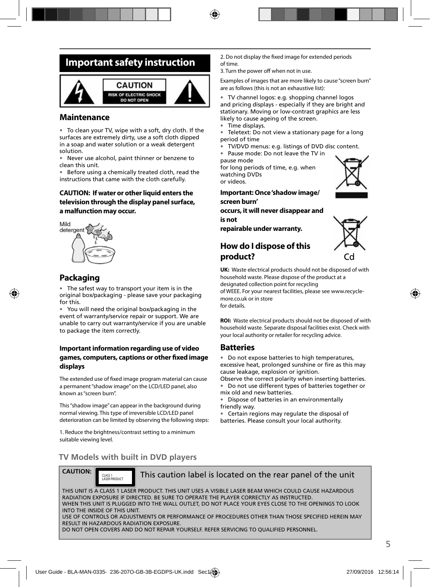## **Important safety instruction**



#### **Maintenance**

• To clean your TV, wipe with a soft, dry cloth. If the surfaces are extremely dirty, use a soft cloth dipped in a soap and water solution or a weak detergent solution.

• Never use alcohol, paint thinner or benzene to clean this unit.

• Before using a chemically treated cloth, read the instructions that came with the cloth carefully.

#### **CAUTION: If water or other liquid enters the television through the display panel surface, a malfunction may occur.**



### **Packaging**

The safest way to transport your item is in the original box/packaging - please save your packaging for this.

• You will need the original box/packaging in the event of warranty/service repair or support. We are unable to carry out warranty/service if you are unable to package the item correctly.

#### **Important information regarding use of video**  games, computers, captions or other fixed image **displays**

The extended use of fixed image program material can cause a permanent "shadow image" on the LCD/LED panel, also known as "screen burn".

This "shadow image" can appear in the background during normal viewing. This type of irreversible LCD/LED panel deterioration can be limited by observing the following steps:

1. Reduce the brightness/contrast setting to a minimum suitable viewing level.

- 2. Do not display the fixed image for extended periods of time.
- 3. Turn the power off when not in use.

Examples of images that are more likely to cause "screen burn" are as follows (this is not an exhaustive list):

• TV channel logos: e.g. shopping channel logos and pricing displays - especially if they are bright and stationary. Moving or low-contrast graphics are less likely to cause ageing of the screen.

Time displays.

Teletext: Do not view a stationary page for a long period of time

• TV/DVD menus: e.g. listings of DVD disc content.

• Pause mode: Do not leave the TV in pause mode for long periods of time, e.g. when watching DVDs

or videos.

**Important: Once 'shadow image/**

**screen burn'** 

**occurs, it will never disappear and is not** 

**repairable under warranty.**

## **How do I dispose of this product?**



**UK:** Waste electrical products should not be disposed of with household waste. Please dispose of the product at a

designated collection point for recycling of WEEE. For your nearest facilities, please see www.recyclemore.co.uk or in store

for details.

**ROI:** Waste electrical products should not be disposed of with household waste. Separate disposal facilities exist. Check with your local authority or retailer for recycling advice.

#### **Batteries**

• Do not expose batteries to high temperatures, excessive heat, prolonged sunshine or fire as this may

cause leakage, explosion or ignition. Observe the correct polarity when inserting batteries.

• Do not use different types of batteries together or mix old and new batteries.

• Dispose of batteries in an environmentally friendly way.

• Certain regions may regulate the disposal of batteries. Please consult your local authority.

### **TV Models with built in DVD players**



### This caution label is located on the rear panel of the unit

THIS UNIT IS A CLASS 1 LASER PRODUCT. THIS UNIT USES A VISIBLE LASER BEAM WHICH COULD CAUSE HAZARDOUS RADIATION EXPOSURE IF DIRECTED. BE SURE TO OPERATE THE PLAYER CORRECTLY AS INSTRUCTED. WHEN THIS UNIT IS PLUGGED INTO THE WALL OUTLET, DO NOT PLACE YOUR EYES CLOSE TO THE OPENINGS TO LOOK INTO THE INSIDE OF THIS UNIT. USE OF CONTROLS OR ADJUSTMENTS OR PERFORMANCE OF PROCEDURES OTHER THAN THOSE SPECIFIED HEREIN MAY

RESULT IN HAZARDOUS RADIATION EXPOSURE

DO NOT OPEN COVERS AND DO NOT REPAIR YOURSELF. REFER SERVICING TO QUALIFIED PERSONNEL.

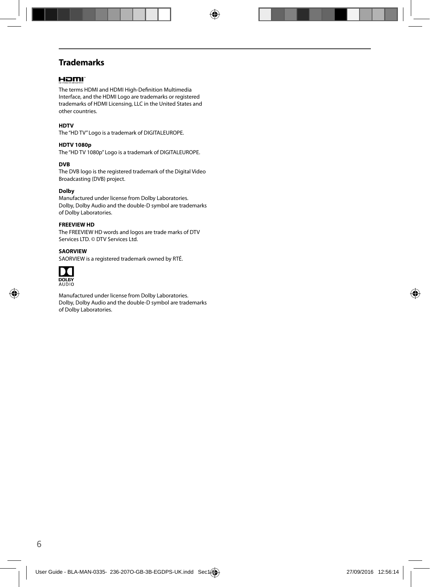### **Trademarks**

### HOMI

The terms HDMI and HDMI High-Definition Multimedia Interface, and the HDMI Logo are trademarks or registered trademarks of HDMI Licensing, LLC in the United States and other countries.

⊕

#### **HDTV**

The "HD TV" Logo is a trademark of DIGITALEUROPE.

#### **HDTV 1080p**

The "HD TV 1080p" Logo is a trademark of DIGITALEUROPE.

#### **DVB**

The DVB logo is the registered trademark of the Digital Video Broadcasting (DVB) project.

#### **Dolby**

Manufactured under license from Dolby Laboratories. Dolby, Dolby Audio and the double-D symbol are trademarks of Dolby Laboratories.

#### **FREEVIEW HD**

The FREEVIEW HD words and logos are trade marks of DTV Services LTD. © DTV Services Ltd.

#### **SAORVIEW**

SAORVIEW is a registered trademark owned by RTÉ.



Manufactured under license from Dolby Laboratories. Dolby, Dolby Audio and the double-D symbol are trademarks of Dolby Laboratories.

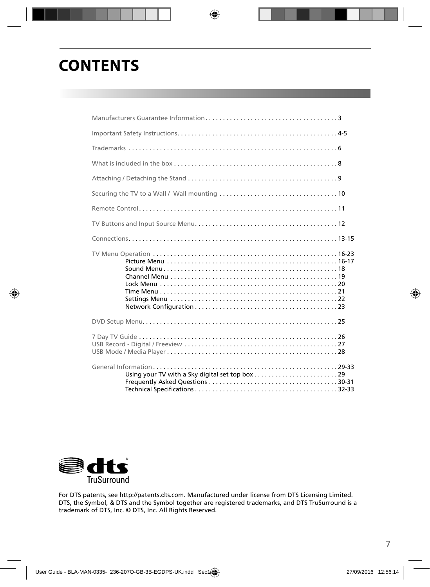# **CONTENTS**

◈



⊕

For DTS patents, see http://patents.dts.com. Manufactured under license from DTS Licensing Limited. DTS, the Symbol, & DTS and the Symbol together are registered trademarks, and DTS TruSurround is a trademark of DTS, Inc. © DTS, Inc. All Rights Reserved.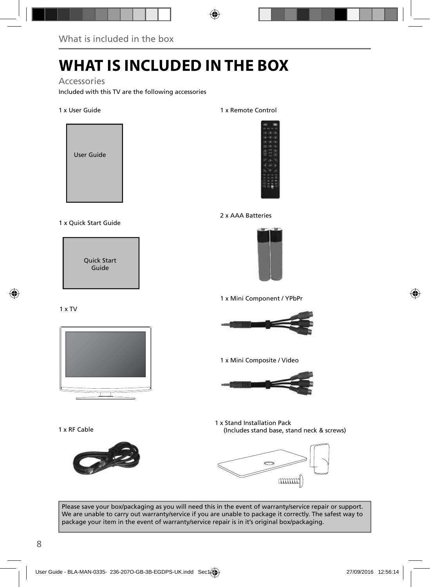# **WHAT IS INCLUDED IN THE BOX**

⊕

Accessories

Included with this TV are the following accessories

1 x User Guide



1 x Quick Start Guide



1 x TV



1 x RF Cable



1 x Remote Control



2 x AAA Batteries



1 x Mini Component / YPbPr



1 x Mini Composite / Video



1 x Stand Installation Pack (Includes stand base, stand neck & screws)



Please save your box/packaging as you will need this in the event of warranty/service repair or support. We are unable to carry out warranty/service if you are unable to package it correctly. The safest way to package your item in the event of warranty/service repair is in it's original box/packaging.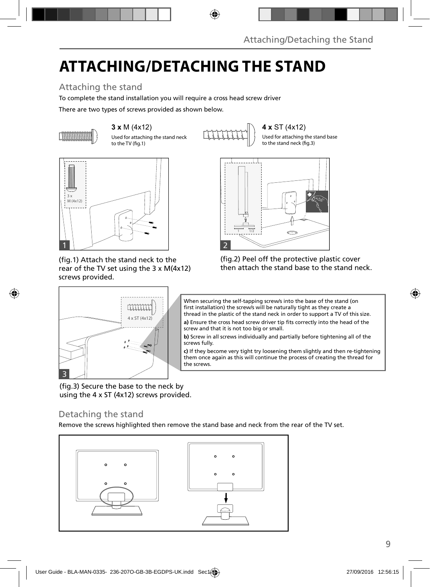Used for attaching the stand base

# **ATTACHING/DETACHING THE STAND**

◈

## Attaching the stand

To complete the stand installation you will require a cross head screw driver

There are two types of screws provided as shown below.



(fig.1) Attach the stand neck to the rear of the TV set using the 3 x M(4x12) screws provided.



(fig.2) Peel off the protective plastic cover then attach the stand base to the stand neck.



When securing the self-tapping screw/s into the base of the stand (on first installation) the screw/s will be naturally tight as they create a thread in the plastic of the stand neck in order to support a TV of this size. a) Ensure the cross head screw driver tip fits correctly into the head of the screw and that it is not too big or small.

**b)** Screw in all screws individually and partially before tightening all of the screws fully.

**c)** If they become very tight try loosening them slightly and then re-tightening them once again as this will continue the process of creating the thread for the screws.

(fig.3) Secure the base to the neck by using the 4 x ST (4x12) screws provided.

## Detaching the stand

⊕

Remove the screws highlighted then remove the stand base and neck from the rear of the TV set.



⊕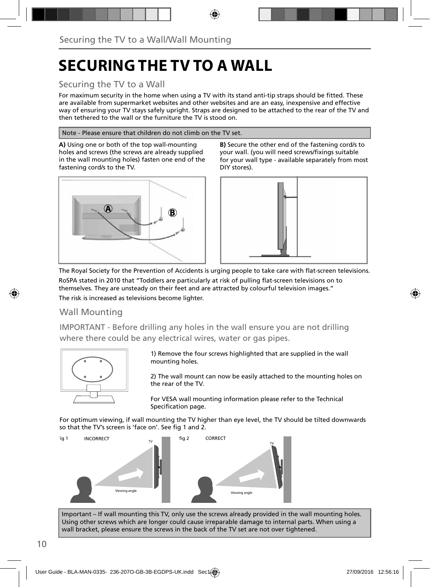# **SECURING THE TV TO A WALL**

## Securing the TV to a Wall

For maximum security in the home when using a TV with its stand anti-tip straps should be fitted. These are available from supermarket websites and other websites and are an easy, inexpensive and effective way of ensuring your TV stays safely upright. Straps are designed to be attached to the rear of the TV and then tethered to the wall or the furniture the TV is stood on.

#### Note - Please ensure that children do not climb on the TV set.

**A)** Using one or both of the top wall-mounting holes and screws (the screws are already supplied in the wall mounting holes) fasten one end of the fastening cord/s to the TV.



**B)** Secure the other end of the fastening cord/s to your wall. (you will need screws/fixings suitable for your wall type - available separately from most DIY stores).



The Royal Society for the Prevention of Accidents is urging people to take care with flat-screen televisions. RoSPA stated in 2010 that "Toddlers are particularly at risk of pulling flat-screen televisions on to themselves. They are unsteady on their feet and are attracted by colourful television images." The risk is increased as televisions become lighter.

### Wall Mounting

IMPORTANT - Before drilling any holes in the wall ensure you are not drilling where there could be any electrical wires, water or gas pipes.



1) Remove the four screws highlighted that are supplied in the wall mounting holes.

2) The wall mount can now be easily attached to the mounting holes on the rear of the TV.

For VESA wall mounting information please refer to the Technical Specification page.

For optimum viewing, if wall mounting the TV higher than eye level, the TV should be tilted downwards so that the TV's screen is 'face on'. See fig 1 and 2.



Important – If wall mounting this TV, only use the screws already provided in the wall mounting holes. Using other screws which are longer could cause irreparable damage to internal parts. When using a wall bracket, please ensure the screws in the back of the TV set are not over tightened.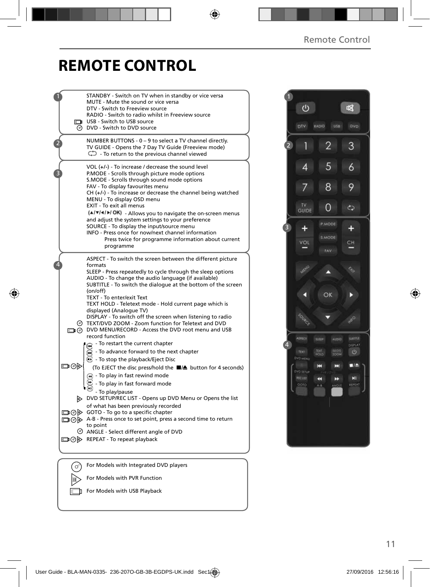Remote Control

# **REMOTE CONTROL**

◈

|      | STANDBY - Switch on TV when in standby or vice versa<br>MUTE - Mute the sound or vice versa<br>DTV - Switch to Freeview source<br>RADIO - Switch to radio whilst in Freeview source<br>USB - Switch to USB source<br>© DVD - Switch to DVD source                                                                                                                                                                                                                                                                                                                                                                                                                                                                                                                                                                                                                                                                                                                                                                                                                                                                                                                                           |
|------|---------------------------------------------------------------------------------------------------------------------------------------------------------------------------------------------------------------------------------------------------------------------------------------------------------------------------------------------------------------------------------------------------------------------------------------------------------------------------------------------------------------------------------------------------------------------------------------------------------------------------------------------------------------------------------------------------------------------------------------------------------------------------------------------------------------------------------------------------------------------------------------------------------------------------------------------------------------------------------------------------------------------------------------------------------------------------------------------------------------------------------------------------------------------------------------------|
|      | NUMBER BUTTONS - 0 - 9 to select a TV channel directly.<br>TV GUIDE - Opens the 7 Day TV Guide (Freeview mode)<br>$\mathbb{C}$ - To return to the previous channel viewed                                                                                                                                                                                                                                                                                                                                                                                                                                                                                                                                                                                                                                                                                                                                                                                                                                                                                                                                                                                                                   |
|      | VOL (+/-) - To increase / decrease the sound level<br>P.MODE - Scrolls through picture mode options<br>S.MODE - Scrolls through sound mode options<br>FAV - To display favourites menu<br>$CH (+/-)$ - To increase or decrease the channel being watched<br>MENU - To display OSD menu<br>EXIT - To exit all menus<br>(A/V/4/M/OK) - Allows you to navigate the on-screen menus<br>and adjust the system settings to your preference<br>SOURCE - To display the input/source menu<br>INFO - Press once for now/next channel information<br>Press twice for programme information about current<br>programme                                                                                                                                                                                                                                                                                                                                                                                                                                                                                                                                                                                 |
| య⊙⊫⊡ | ASPECT - To switch the screen between the different picture<br>formats<br>SLEEP - Press repeatedly to cycle through the sleep options<br>AUDIO - To change the audio language (if available)<br>SUBTITLE - To switch the dialogue at the bottom of the screen<br>(on/off)<br>TEXT - To enter/exit Text<br>TEXT HOLD - Teletext mode - Hold current page which is<br>displayed (Analogue TV)<br>DISPLAY - To switch off the screen when listening to radio<br>TEXT/DVD ZOOM - Zoom function for Teletext and DVD<br>DVD MENU/RECORD - Access the DVD root menu and USB<br>record function<br>- To restart the current chapter<br>ଳେ<br>To advance forward to the next chapter<br>$\odot$ - To stop the playback/Eject Disc<br>(To EJECT the disc press/hold the ■▲ button for 4 seconds)<br>⊕ - To play in fast rewind mode<br>- To play in fast forward mode<br>- To play/pause<br>DVD SETUP/REC LIST - Opens up DVD Menu or Opens the list<br>of what has been previously recorded<br>□ ⊙ > GOTO - To go to a specific chapter<br>A-B - Press once to set point, press a second time to return<br>to point<br>© ANGLE - Select different angle of DVD<br>□ ⊙ D REPEAT - To repeat playback |
|      | For Models with Integrated DVD players                                                                                                                                                                                                                                                                                                                                                                                                                                                                                                                                                                                                                                                                                                                                                                                                                                                                                                                                                                                                                                                                                                                                                      |
|      | For Models with PVR Function                                                                                                                                                                                                                                                                                                                                                                                                                                                                                                                                                                                                                                                                                                                                                                                                                                                                                                                                                                                                                                                                                                                                                                |
|      | For Models with USB Playback                                                                                                                                                                                                                                                                                                                                                                                                                                                                                                                                                                                                                                                                                                                                                                                                                                                                                                                                                                                                                                                                                                                                                                |

◈



◈

11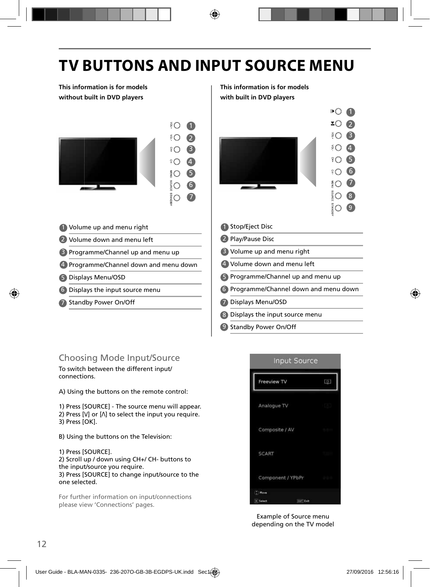# **TV BUTTONS AND INPUT SOURCE MENU**

**This information is for models without built in DVD players**



- 1 Volume up and menu right **1** 1
- 2 Volume down and menu left 2
- 3 Programme/Channel up and menu up **8**
- 4 Programme/Channel down and menu down | 4
- Displays Menu/OSD 5 5
- Displays the input source menu 6 6
- 7 Standby Power On/Off **1999 1999**

### **This information is for models with built in DVD players**



- **Stop/Eject Disc**
- 2 Play/Pause Disc
- **B** Volume up and menu right
- Volume down and menu left
- **Programme/Channel up and menu up**
- Programme/Channel down and menu down
- Displays Menu/OSD
- Displays the input source menu 8
- 9 Standby Power On/Off

### Choosing Mode Input/Source

To switch between the different input/ connections.

A) Using the buttons on the remote control:

1) Press [SOURCE] - The source menu will appear. 2) Press  $[V]$  or  $[\Lambda]$  to select the input you require. 3) Press [OK].

B) Using the buttons on the Television:

1) Press [SOURCE]. 2) Scroll up / down using CH+/ CH- buttons to the input/source you require. 3) Press [SOURCE] to change input/source to the one selected.

For further information on input/connections please view 'Connections' pages.



Example of Source menu depending on the TV model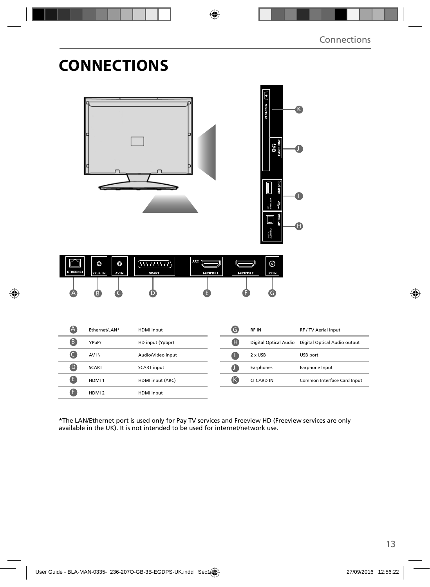# **CONNECTIONS**

B

◈



◈

A C D E F G

| $\blacktriangle$ | Fthernet/LAN*     | HDMI input         | G | RF IN          | RF / TV Aerial Input                               |
|------------------|-------------------|--------------------|---|----------------|----------------------------------------------------|
| B                | YPbPr             | HD input (Ypbpr)   | o |                | Digital Optical Audio Digital Optical Audio output |
|                  | AV IN             | Audio/Video input  |   | $2 \times$ USB | USB port                                           |
| O                | <b>SCART</b>      | <b>SCART</b> input |   | Earphones      | Earphone Input                                     |
|                  | HDMI <sub>1</sub> | HDMI input (ARC)   | K | CI CARD IN     | Common Interface Card Input                        |
|                  | HDMI <sub>2</sub> | HDMI input         |   |                |                                                    |

\*The LAN/Ethernet port is used only for Pay TV services and Freeview HD (Freeview services are only available in the UK). It is not intended to be used for internet/network use.

13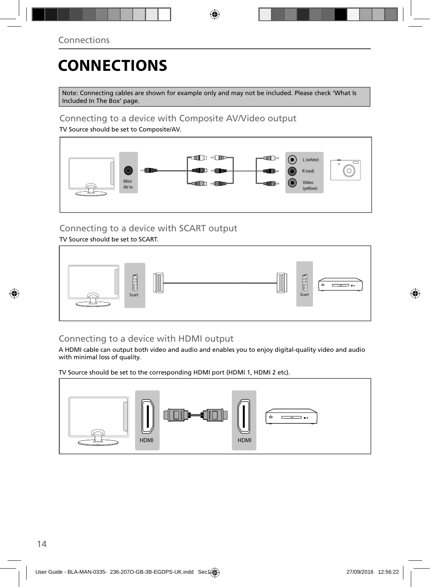# **CONNECTIONS**

Note: Connecting cables are shown for example only and may not be included. Please check 'What Is Included In The Box' page.

◈

## Connecting to a device with Composite AV/Video output

TV Source should be set to Composite/AV.



## Connecting to a device with SCART output

TV Source should be set to SCART.



## Connecting to a device with HDMI output

A HDMI cable can output both video and audio and enables you to enjoy digital-quality video and audio with minimal loss of quality.

TV Source should be set to the corresponding HDMI port (HDMI 1, HDMI 2 etc).



⊕

⊕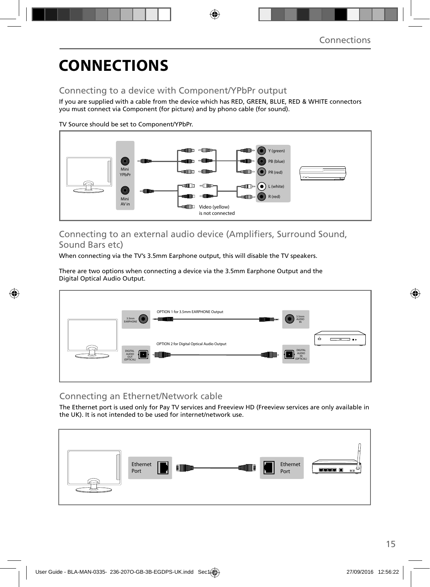# **CONNECTIONS**

### Connecting to a device with Component/YPbPr output

If you are supplied with a cable from the device which has RED, GREEN, BLUE, RED & WHITE connectors you must connect via Component (for picture) and by phono cable (for sound).

◈

TV Source should be set to Component/YPbPr.

⊕



## Connecting to an external audio device (Amplifiers, Surround Sound, Sound Bars etc)

When connecting via the TV's 3.5mm Earphone output, this will disable the TV speakers.

There are two options when connecting a device via the 3.5mm Earphone Output and the Digital Optical Audio Output.



## Connecting an Ethernet/Network cable

The Ethernet port is used only for Pay TV services and Freeview HD (Freeview services are only available in the UK). It is not intended to be used for internet/network use.



⊕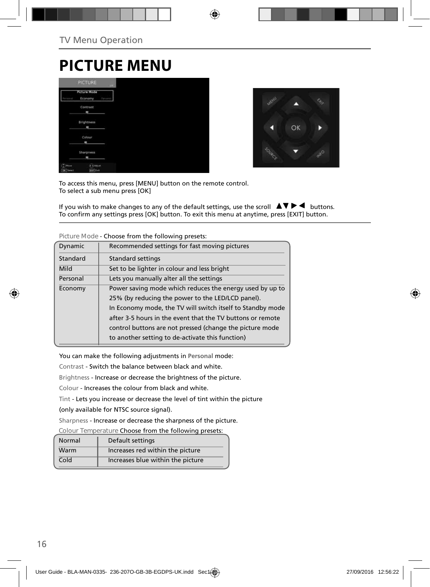# **PICTURE MENU**

|                                   | PICTURE                        |        |
|-----------------------------------|--------------------------------|--------|
| www.al                            | <b>Picture Mode</b><br>Economy | Dynama |
|                                   | <b>Contrast</b><br>٠           |        |
|                                   | <b>Brightness</b><br>×         |        |
|                                   | Colour<br>۰                    |        |
|                                   | Sharpness                      |        |
| <b>Million</b><br><b>Contract</b> | Adule<br><b>CONTRACTOR</b>     |        |



To access this menu, press [MENU] button on the remote control. To select a sub menu press [OK]

If you wish to make changes to any of the default settings, use the scroll  $\Delta \nabla \blacktriangleright$   $\blacktriangleleft$  buttons. To confirm any settings press [OK] button. To exit this menu at anytime, press [EXIT] button.

**Picture Mode** - Choose from the following presets:

| Dynamic  | Recommended settings for fast moving pictures              |
|----------|------------------------------------------------------------|
| Standard | <b>Standard settings</b>                                   |
| Mild     | Set to be lighter in colour and less bright                |
| Personal | Lets you manually alter all the settings                   |
| Economy  | Power saving mode which reduces the energy used by up to   |
|          | 25% (by reducing the power to the LED/LCD panel).          |
|          | In Economy mode, the TV will switch itself to Standby mode |
|          | after 3-5 hours in the event that the TV buttons or remote |
|          | control buttons are not pressed (change the picture mode   |
|          | to another setting to de-activate this function)           |
|          |                                                            |

You can make the following adjustments in **Personal** mode:

Contrast - Switch the balance between black and white.

Brightness - Increase or decrease the brightness of the picture.

Colour - Increases the colour from black and white.

Tint - Lets you increase or decrease the level of tint within the picture

(only available for NTSC source signal).

Sharpness - Increase or decrease the sharpness of the picture.

**Colour Temperature** Choose from the following presets:

| Normal | Default settings                  |
|--------|-----------------------------------|
| Warm   | Increases red within the picture  |
| Cold   | Increases blue within the picture |

16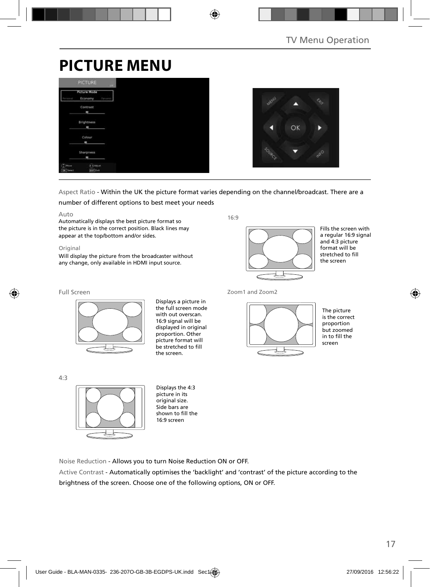## **PICTURE MENU**





Aspect Ratio - Within the UK the picture format varies depending on the channel/broadcast. There are a

◈

#### number of different options to best meet your needs

#### Auto

Automatically displays the best picture format so the picture is in the correct position. Black lines may appear at the top/bottom and/or sides.

#### Original

Will display the picture from the broadcaster without any change, only available in HDMI input source.





Fills the screen with a regular 16:9 signal and 4:3 picture format will be stretched to fill the screen

Full Screen

◈



Displays a picture in the full screen mode with out overscan. 16:9 signal will be displayed in original proportion. Other picture format will .<br>be stretched to fill the screen.

Zoom1 and Zoom2



The picture is the correct proportion but zoomed in to fill the screen

4:3



Displays the 4:3 picture in its original size. Side bars are shown to fill the 16:9 screen

Noise Reduction - Allows you to turn Noise Reduction ON or OFF.

Active Contrast - Automatically optimises the 'backlight' and 'contrast' of the picture according to the brightness of the screen. Choose one of the following options, ON or OFF.

⊕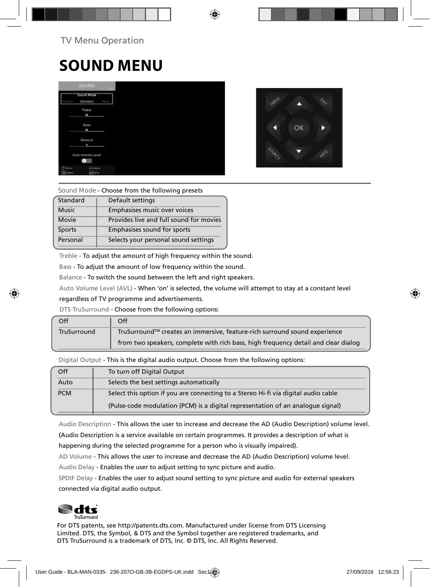# **SOUND MENU**





**Sound Mode** - Choose from the following presets

| Standard     | Default settings                        |
|--------------|-----------------------------------------|
| <b>Music</b> | Emphasises music over voices            |
| Movie        | Provides live and full sound for movies |
| Sports       | Emphasises sound for sports             |
| Personal     | Selects your personal sound settings    |

Treble - To adjust the amount of high frequency within the sound.

Bass - To adjust the amount of low frequency within the sound.

Balance - To switch the sound between the left and right speakers.

Auto Volume Level (AVL) - When 'on' is selected, the volume will attempt to stay at a constant level regardless of TV programme and advertisements.

DTS TruSurround - Choose from the following options:

| <b>Off</b>  | Off                                                                                |
|-------------|------------------------------------------------------------------------------------|
| TruSurround | TruSurround™ creates an immersive, feature-rich surround sound experience          |
|             | from two speakers, complete with rich bass, high frequency detail and clear dialog |

Digital Output - This is the digital audio output. Choose from the following options:

| Off        | To turn off Digital Output                                                         |
|------------|------------------------------------------------------------------------------------|
| Auto       | Selects the best settings automatically                                            |
| <b>PCM</b> | Select this option if you are connecting to a Stereo Hi-fi via digital audio cable |
|            | (Pulse-code modulation (PCM) is a digital representation of an analogue signal)    |

Audio Description - This allows the user to increase and decrease the AD (Audio Description) volume level. (Audio Description is a service available on certain programmes. It provides a description of what is happening during the selected programme for a person who is visually impaired).

AD Volume - This allows the user to increase and decrease the AD (Audio Description) volume level.

Audio Delay - Enables the user to adjust setting to sync picture and audio.

SPDIF Delay - Enables the user to adjust sound setting to sync picture and audio for external speakers connected via digital audio output.



For DTS patents, see http://patents.dts.com. Manufactured under license from DTS Licensing Limited. DTS, the Symbol, & DTS and the Symbol together are registered trademarks, and DTS TruSurround is a trademark of DTS, Inc. © DTS, Inc. All Rights Reserved.

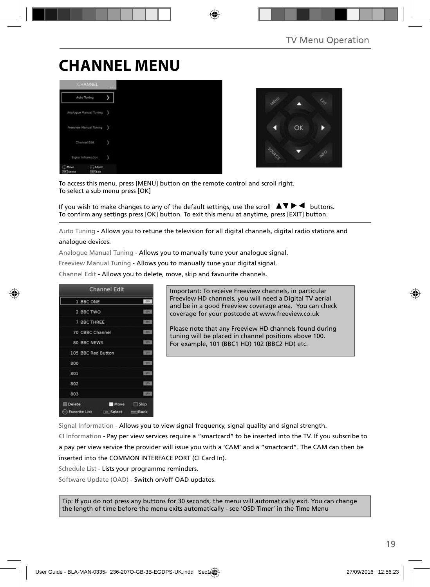## **CHANNEL MENU**

| <b>CHANNEL</b>            |                              |  |
|---------------------------|------------------------------|--|
|                           | Auto Tuning                  |  |
|                           | Analogue Manual Tuning       |  |
|                           | Freeview Manual Tuning       |  |
|                           | Channel Edit                 |  |
|                           | Signal Information           |  |
| Move<br><b>Cor Select</b> | $-$ Adjust<br><b>EAT EAR</b> |  |



To access this menu, press [MENU] button on the remote control and scroll right. To select a sub menu press [OK]

If you wish to make changes to any of the default settings, use the scroll  $\blacktriangle \blacktriangledown \blacktriangleright \blacktriangleleft$  buttons. To confirm any settings press [OK] button. To exit this menu at anytime, press [EXIT] button.

Auto Tuning - Allows you to retune the television for all digital channels, digital radio stations and analogue devices.

Analogue Manual Tuning - Allows you to manually tune your analogue signal.

Freeview Manual Tuning - Allows you to manually tune your digital signal.

Channel Edit - Allows you to delete, move, skip and favourite channels.



Important: To receive Freeview channels, in particular Freeview HD channels, you will need a Digital TV aerial and be in a good Freeview coverage area. You can check coverage for your postcode at www.freeview.co.uk

Please note that any Freeview HD channels found during tuning will be placed in channel positions above 100. For example, 101 (BBC1 HD) 102 (BBC2 HD) etc.

Signal Information - Allows you to view signal frequency, signal quality and signal strength.

CI Information - Pay per view services require a "smartcard" to be inserted into the TV. If you subscribe to a pay per view service the provider will issue you with a 'CAM' and a "smartcard". The CAM can then be inserted into the COMMON INTERFACE PORT (CI Card In).

Schedule List - Lists your programme reminders.

Software Update (OAD) - Switch on/off OAD updates.

Tip: If you do not press any buttons for 30 seconds, the menu will automatically exit. You can change the length of time before the menu exits automatically - see 'OSD Timer' in the Time Menu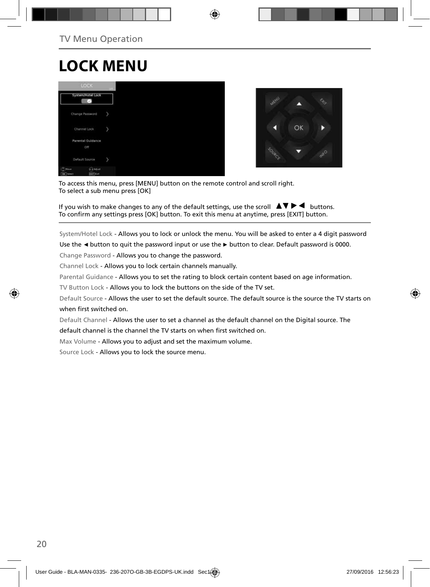# **LOCK MENU**

| LOCK                   |                                        |  |
|------------------------|----------------------------------------|--|
|                        | System/Hotel Lock                      |  |
|                        | Change Password                        |  |
|                        | Channel Lock                           |  |
|                        | Parental Guidance<br>Off               |  |
|                        | Default Source                         |  |
| Moue<br><b>COMPANY</b> | <b>Little and</b><br><b>STATISTICS</b> |  |



To access this menu, press [MENU] button on the remote control and scroll right. To select a sub menu press [OK]

If you wish to make changes to any of the default settings, use the scroll  $\Box \Box \blacktriangleright \blacktriangleleft$  buttons. To confirm any settings press [OK] button. To exit this menu at anytime, press [EXIT] button.

System/Hotel Lock - Allows you to lock or unlock the menu. You will be asked to enter a 4 digit password

Use the **◄** button to quit the password input or use the **►** button to clear. Default password is 0000.

Change Password - Allows you to change the password.

Channel Lock - Allows you to lock certain channels manually.

Parental Guidance - Allows you to set the rating to block certain content based on age information.

TV Button Lock - Allows you to lock the buttons on the side of the TV set.

Default Source - Allows the user to set the default source. The default source is the source the TV starts on when first switched on.

Default Channel - Allows the user to set a channel as the default channel on the Digital source. The

default channel is the channel the TV starts on when first switched on.

Max Volume - Allows you to adjust and set the maximum volume.

Source Lock - Allows you to lock the source menu.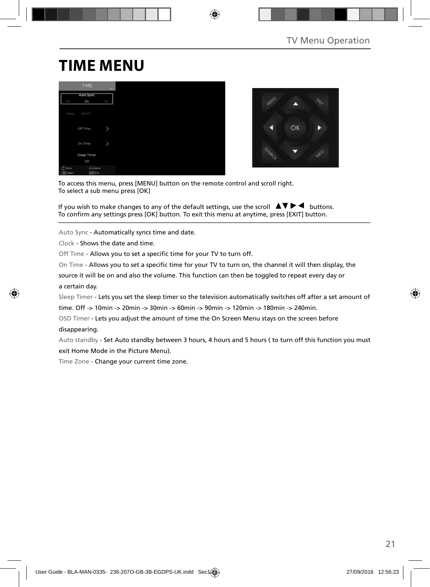## **TIME MENU**

|                               | TIME                        | <b>SALE</b> |
|-------------------------------|-----------------------------|-------------|
| CT                            | Auto Sync<br>On             | $-27$       |
| Clock                         | 100107                      |             |
|                               | Off Time                    | в           |
|                               | On Time                     | л           |
|                               | Sleep Timer<br>Off          |             |
| $\bigcirc$ Hour<br>Text Twent | 2.Adjust<br><b>Earl Cat</b> |             |



To access this menu, press [MENU] button on the remote control and scroll right. To select a sub menu press [OK]

If you wish to make changes to any of the default settings, use the scroll  $\Box \blacktriangledown \blacktriangleright \blacktriangleleft$  buttons. To confirm any settings press [OK] button. To exit this menu at anytime, press [EXIT] button.

Auto Sync - Automatically syncs time and date.

Clock - Shows the date and time.

Off Time - Allows you to set a specific time for your TV to turn off.

On Time - Allows you to set a specific time for your TV to turn on, the channel it will then display, the

source it will be on and also the volume. This function can then be toggled to repeat every day or a certain day.

Sleep Timer - Lets you set the sleep timer so the television automatically switches off after a set amount of time. Off -> 10min -> 20min -> 30min -> 60min -> 90min -> 120min -> 180min -> 240min.

OSD Timer - Lets you adjust the amount of time the On Screen Menu stays on the screen before disappearing.

Auto standby - Set Auto standby between 3 hours, 4 hours and 5 hours ( to turn off this function you must exit Home Mode in the Picture Menu).

Time Zone - Change your current time zone.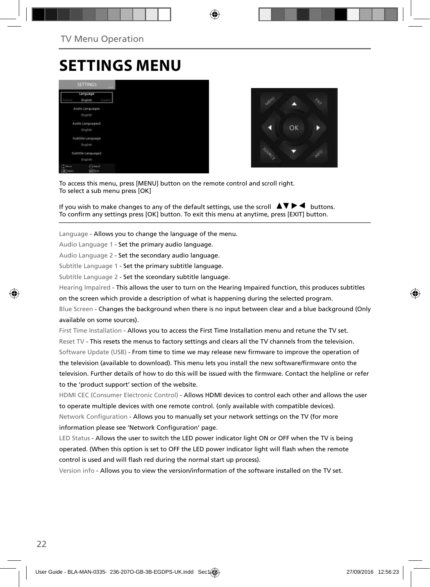# **SETTINGS MENU**





To access this menu, press [MENU] button on the remote control and scroll right. To select a sub menu press [OK]

If you wish to make changes to any of the default settings, use the scroll  $\Box \blacktriangledown \blacktriangleright \blacktriangleleft$  buttons. To confirm any settings press [OK] button. To exit this menu at anytime, press [EXIT] button.

Language - Allows you to change the language of the menu.

Audio Language 1 - Set the primary audio language.

Audio Language 2 - Set the secondary audio language.

Subtitle Language 1 - Set the primary subtitle language.

Subtitle Language 2 - Set the sceondary subtitle language.

Hearing Impaired - This allows the user to turn on the Hearing Impaired function, this produces subtitles on the screen which provide a description of what is happening during the selected program.

Blue Screen - Changes the background when there is no input between clear and a blue background (Only available on some sources).

First Time Installation - Allows you to access the First Time Installation menu and retune the TV set. Reset TV - This resets the menus to factory settings and clears all the TV channels from the television. Software Update (USB) - From time to time we may release new firmware to improve the operation of the television (available to download). This menu lets you install the new software/firmware onto the television. Further details of how to do this will be issued with the firmware. Contact the helpline or refer to the 'product support' section of the website.

HDMI CEC (Consumer Electronic Control) - Allows HDMI devices to control each other and allows the user to operate multiple devices with one remote control. (only available with compatible devices). Network Configuration - Allows you to manually set your network settings on the TV (for more information please see 'Network Configuration' page.

LED Status - Allows the user to switch the LED power indicator light ON or OFF when the TV is being operated. (When this option is set to OFF the LED power indicator light will flash when the remote control is used and will flash red during the normal start up process).

Version info - Allows you to view the version/information of the software installed on the TV set.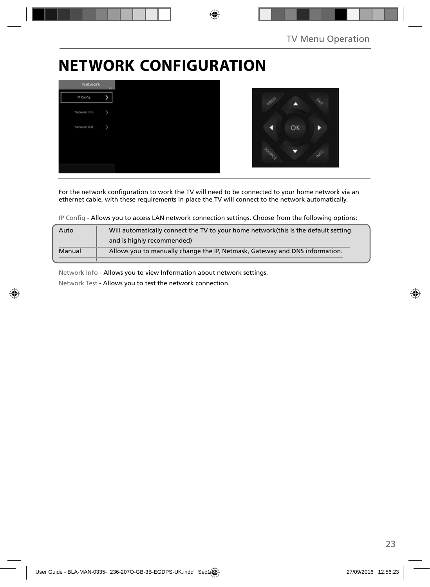## **NETWORK CONFIGURATION**



 $\bigoplus$ 

For the network configuration to work the TV will need to be connected to your home network via an ethernet cable, with these requirements in place the TV will connect to the network automatically.

IP Config - Allows you to access LAN network connection settings. Choose from the following options:

| Auto   | Will automatically connect the TV to your home network (this is the default setting |
|--------|-------------------------------------------------------------------------------------|
|        | and is highly recommended)                                                          |
| Manual | Allows you to manually change the IP, Netmask, Gateway and DNS information.         |
|        |                                                                                     |

Network Info - Allows you to view Information about network settings. Network Test - Allows you to test the network connection.

◈

⊕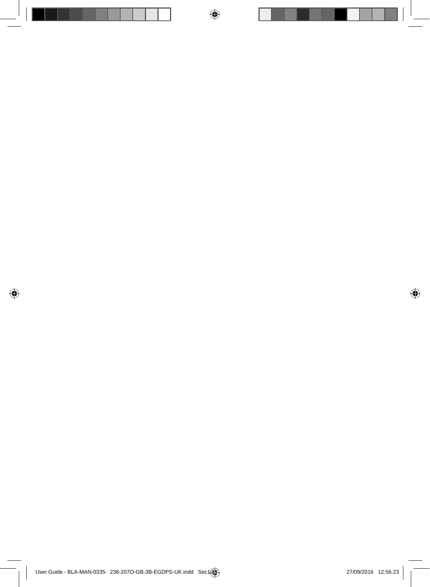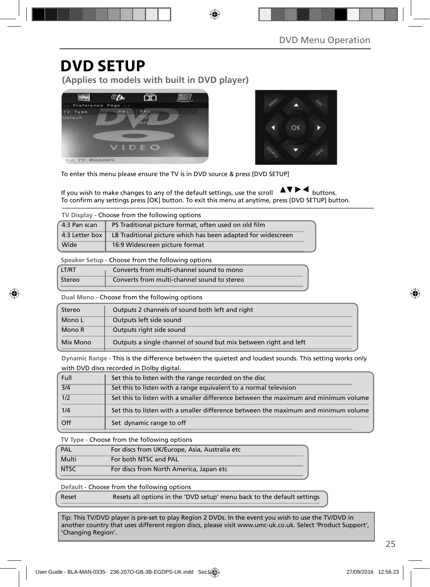## **DVD SETUP**

**(Applies to models with built in DVD player)**





To enter this menu please ensure the TV is in DVD source & press [DVD SETUP]

If you wish to make changes to any of the default settings, use the scroll  $\Box \Box \Box \Box$  buttons. To confirm any settings press [OK] button. To exit this menu at anytime, press [DVD SETUP] button.

| TV Display - Choose from the following options |                                                              |  |  |  |
|------------------------------------------------|--------------------------------------------------------------|--|--|--|
| 4:3 Pan scan                                   | PS Traditional picture format, often used on old film        |  |  |  |
| 4:3 Letter box                                 | LB Traditional picture which has been adapted for widescreen |  |  |  |
| Wide                                           | 16:9 Widescreen picture format                               |  |  |  |
|                                                |                                                              |  |  |  |

**Speaker Setup** - Choose from the following options

| <b>LT/RT</b> | Converts from multi-channel sound to mono   |
|--------------|---------------------------------------------|
| Stereo       | Converts from multi-channel sound to stereo |

**Dual Mono** - Choose from the following options

| Stereo   | Outputs 2 channels of sound both left and right                  |
|----------|------------------------------------------------------------------|
| Mono L   | Outputs left side sound                                          |
| Mono R   | Outputs right side sound                                         |
| Mix Mono | Outputs a single channel of sound but mix between right and left |

**Dynamic Range** - This is the difference between the quietest and loudest sounds. This setting works only with DVD discs recorded in Dolby digital.

| Full       | Set this to listen with the range recorded on the disc                              |
|------------|-------------------------------------------------------------------------------------|
| 3/4        | Set this to listen with a range equivalent to a normal television                   |
| 1/2        | Set this to listen with a smaller difference between the maximum and minimum volume |
| 1/4        | Set this to listen with a smaller difference between the maximum and minimum volume |
| <b>Off</b> | Set dynamic range to off                                                            |

**TV Type** - Choose from the following options

| PAL         | For discs from UK/Europe, Asia, Australia etc |
|-------------|-----------------------------------------------|
| Multi       | For both NTSC and PAL                         |
| <b>NTSC</b> | For discs from North America, Japan etc       |

**Default** - Choose from the following options

Reset Resets all options in the 'DVD setup' menu back to the default settings

Tip: This TV/DVD player is pre-set to play Region 2 DVDs. In the event you wish to use the TV/DVD in another country that uses different region discs, please visit www.umc-uk.co.uk. Select 'Product Support', 'Changing Region'.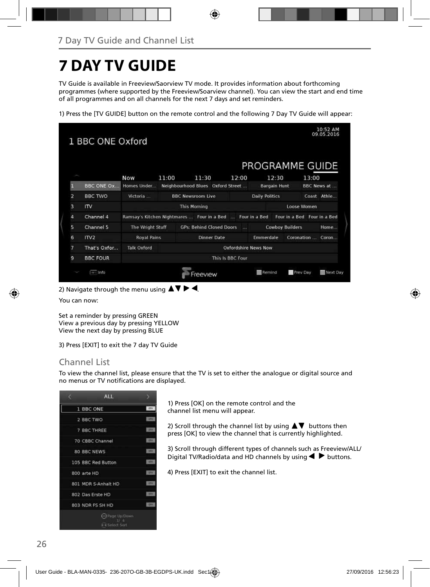# **7 DAY TV GUIDE**

TV Guide is available in Freeview/Saorview TV mode. It provides information about forthcoming programmes (where supported by the Freeview/Soarview channel). You can view the start and end time of all programmes and on all channels for the next 7 days and set reminders.

1) Press the [TV GUIDE] button on the remote control and the following 7 Day TV Guide will appear:

|                | 1 BBC ONE Oxford           |                                            |       |                                   |                             |                       |                             | 10:52 AM<br>09.05.2016 |
|----------------|----------------------------|--------------------------------------------|-------|-----------------------------------|-----------------------------|-----------------------|-----------------------------|------------------------|
|                |                            |                                            |       |                                   |                             |                       | PROGRAMME GUIDE             |                        |
|                |                            | <b>Now</b>                                 | 11:00 | 11:30                             | 12:00                       | 12:30                 | 13:00                       |                        |
| П              | <b>BBC ONE OX</b>          | Homes Under                                |       | Neighbourhood Blues Oxford Street |                             | <b>Bargain Hunt</b>   |                             | <b>BBC News at </b>    |
| $\overline{a}$ | <b>BBC TWO</b>             | Victoria                                   |       | <b>BBC Newsroom Live</b>          |                             | <b>Daily Politics</b> |                             | Coast Athle            |
| 3              | $\mathsf{I}^{\mathsf{IV}}$ |                                            |       | This Morning                      |                             |                       | Loose Women                 |                        |
| 4              | Channel 4                  | Ramsay's Kitchen Nightmares  Four in a Bed |       |                                   |                             | Four in a Bed         | Four in a Bed Four in a Bed |                        |
| 5              | Channel 5                  | The Wright Stuff                           |       | <b>GPs: Behind Closed Doors</b>   | <b>AAA</b>                  |                       | <b>Cowboy Builders</b>      | Home                   |
| 6              | ITV2                       | <b>Royal Pains</b>                         |       | <b>Dinner Date</b>                |                             | Emmerdale             | Coronation  Coron           |                        |
| 7              | That's Oxfor               | <b>Talk Oxford</b>                         |       |                                   | <b>Oxfordshire News Now</b> |                       |                             |                        |
| 9              | <b>BBC FOUR</b>            | This Is BBC Four                           |       |                                   |                             |                       |                             |                        |
|                | will Info                  |                                            |       | <i><b>Freeview</b></i>            |                             | Remind                | <b>Prev Day</b>             | Next Day               |

2) Navigate through the menu using  $\blacktriangle \blacktriangledown \blacktriangleright \blacktriangleleft$ . You can now:

Set a reminder by pressing GREEN View a previous day by pressing YELLOW View the next day by pressing BLUE

3) Press [EXIT] to exit the 7 day TV Guide

## Channel List

To view the channel list, please ensure that the TV is set to either the analogue or digital source and no menus or TV notifications are displayed.



1) Press [OK] on the remote control and the channel list menu will appear.

2) Scroll through the channel list by using  $\blacktriangle \blacktriangledown$  buttons then press [OK] to view the channel that is currently highlighted.

3) Scroll through different types of channels such as Freeview/ALL/ Digital TV/Radio/data and HD channels by using  $\blacktriangleleft$  buttons.

4) Press [EXIT] to exit the channel list.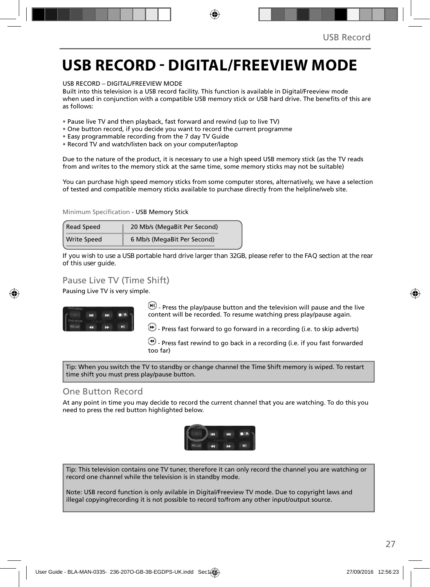## **USB RECORD - DIGITAL/FREEVIEW MODE**

#### USB RECORD – DIGITAL/FREEVIEW MODE

Built into this television is a USB record facility. This function is available in Digital/Freeview mode when used in conjunction with a compatible USB memory stick or USB hard drive. The benefits of this are as follows:

- Pause live TV and then playback, fast forward and rewind (up to live TV)
- One button record, if you decide you want to record the current programme
- Easy programmable recording from the 7 day TV Guide
- Record TV and watch/listen back on your computer/laptop

Due to the nature of the product, it is necessary to use a high speed USB memory stick (as the TV reads from and writes to the memory stick at the same time, some memory sticks may not be suitable)

You can purchase high speed memory sticks from some computer stores, alternatively, we have a selection of tested and compatible memory sticks available to purchase directly from the helpline/web site.

Minimum Specification - USB Memory Stick

**If you wish to use a USB portable hard drive larger than 32GB, please refer to the FAQ section at the rear of this user guide.**

## Pause Live TV (Time Shift)

Pausing Live TV is very simple.



 $-$  Press the play/pause button and the television will pause and the live content will be recorded. To resume watching press play/pause again.

 $\bigoplus$  - Press fast forward to go forward in a recording (i.e. to skip adverts)

 $\left(\bigstar\right)$  - Press fast rewind to go back in a recording (i.e. if you fast forwarded too far)

Tip: When you switch the TV to standby or change channel the Time Shift memory is wiped. To restart time shift you must press play/pause button.

#### One Button Record

At any point in time you may decide to record the current channel that you are watching. To do this you need to press the red button highlighted below.



Tip: This television contains one TV tuner, therefore it can only record the channel you are watching or record one channel while the television is in standby mode.

Note: USB record function is only avilable in Digital/Freeview TV mode. Due to copyright laws and illegal copying/recording it is not possible to record to/from any other input/output source.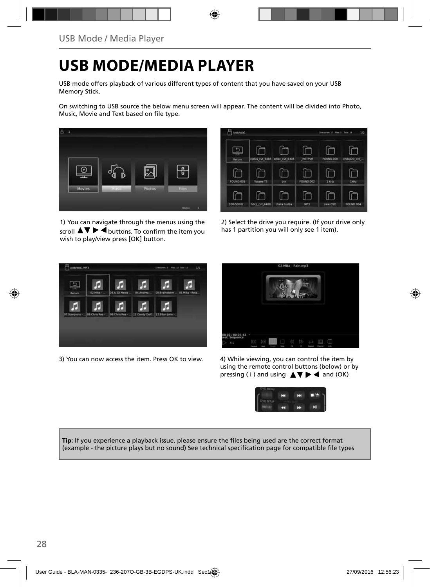# **USB MODE/MEDIA PLAYER**

USB mode offers playback of various different types of content that you have saved on your USB Memory Stick.

On switching to USB source the below menu screen will appear. The content will be divided into Photo, Music, Movie and Text based on file type.



1) You can navigate through the menus using the scroll  $\blacktriangle\blacktriangledown\blacktriangleright\blacktriangleleft$  buttons. To confirm the item you wish to play/view press [OK] button.



2) Select the drive you require. (If your drive only has 1 partition you will only see 1 item).



3) You can now access the item. Press OK to view. 4) While viewing, you can control the item by



using the remote control buttons (below) or by pressing ( i ) and using  $\Box \blacktriangledown \blacktriangleright \blacktriangleleft$  and (OK)



**Tip:** If you experience a playback issue, please ensure the files being used are the correct format (example - the picture plays but no sound) See technical specification page for compatible file types ⊕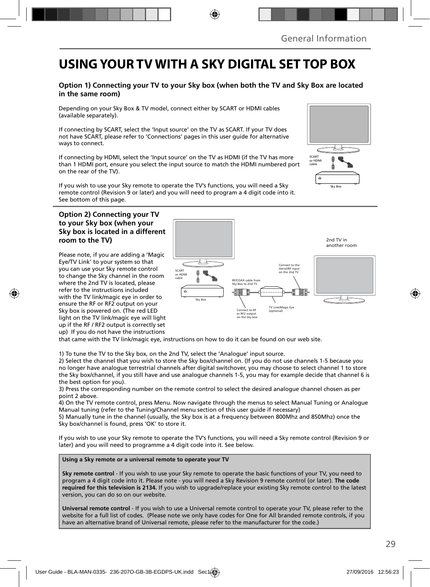Sky Box

SCART or HDMI cable

## **USING YOUR TV WITH A SKY DIGITAL SET TOP BOX**

#### **Option 1) Connecting your TV to your Sky box (when both the TV and Sky Box are located in the same room)**

Depending on your Sky Box & TV model, connect either by SCART or HDMI cables (available separately).

If connecting by SCART, select the 'Input source' on the TV as SCART. If your TV does not have SCART, please refer to 'Connections' pages in this user guide for alternative ways to connect.

If connecting by HDMI, select the 'Input source' on the TV as HDMI (if the TV has more than 1 HDMI port, ensure you select the input source to match the HDMI numbered port on the rear of the TV).

If you wish to use your Sky remote to operate the TV's functions, you will need a Sky remote control (Revision 9 or later) and you will need to program a 4 digit code into it. See bottom of this page.

#### **Option 2) Connecting your TV to your Sky box (when your Sky box is located in a different room to the TV)**

Please note, if you are adding a 'Magic Eye/TV Link' to your system so that you can use your Sky remote control to change the Sky channel in the room where the 2nd TV is located, please refer to the instructions included with the TV link/magic eye in order to ensure the RF or RF2 output on your Sky box is powered on. (The red LED light on the TV link/magic eye will light up if the RF / RF2 output is correctly set up) If you do not have the instructions



that came with the TV link/magic eye, instructions on how to do it can be found on our web site.

1) To tune the TV to the Sky box, on the 2nd TV, select the 'Analogue' input source.

2) Select the channel that you wish to store the Sky box/channel on. (If you do not use channels 1-5 because you no longer have analogue terrestrial channels after digital switchover, you may choose to select channel 1 to store the Sky box/channel, if you still have and use analogue channels 1-5, you may for example decide that channel 6 is the best option for you).

3) Press the corresponding number on the remote control to select the desired analogue channel chosen as per point 2 above.

4) On the TV remote control, press Menu. Now navigate through the menus to select Manual Tuning or Analogue Manual tuning (refer to the Tuning/Channel menu section of this user guide if necessary)

5) Manually tune in the channel (usually, the Sky box is at a frequency between 800Mhz and 850Mhz) once the Sky box/channel is found, press 'OK' to store it.

If you wish to use your Sky remote to operate the TV's functions, you will need a Sky remote control (Revision 9 or later) and you will need to programme a 4 digit code into it. See below.

#### **Using a Sky remote or a universal remote to operate your TV**

**Sky remote control** - If you wish to use your Sky remote to operate the basic functions of your TV, you need to program a 4 digit code into it. Please note - you will need a Sky Revision 9 remote control (or later). **The code required for this television is 2134.** If you wish to upgrade/replace your existing Sky remote control to the latest version, you can do so on our website.

**Universal remote control** - If you wish to use a Universal remote control to operate your TV, please refer to the website for a full list of codes. (Please note we only have codes for One for All branded remote controls, if you have an alternative brand of Universal remote, please refer to the manufacturer for the code.)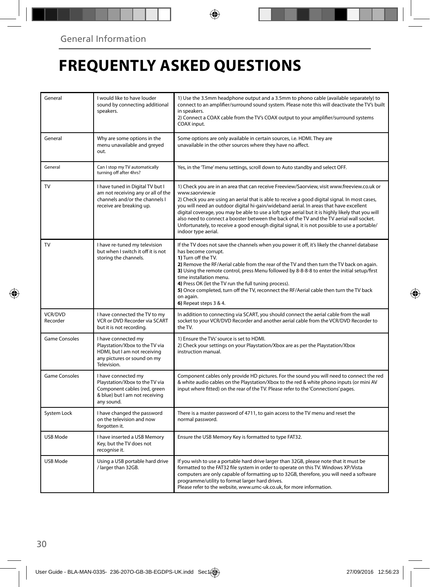# **FREQUENTLY ASKED QUESTIONS**

◈

| General                    | I would like to have louder<br>sound by connecting additional<br>speakers.                                                            | 1) Use the 3.5mm headphone output and a 3.5mm to phono cable (available separately) to<br>connect to an amplifier/surround sound system. Please note this will deactivate the TV's built<br>in speakers.<br>2) Connect a COAX cable from the TV's COAX output to your amplifier/surround systems<br>COAX input.                                                                                                                                                                                                                                                                                                                     |  |
|----------------------------|---------------------------------------------------------------------------------------------------------------------------------------|-------------------------------------------------------------------------------------------------------------------------------------------------------------------------------------------------------------------------------------------------------------------------------------------------------------------------------------------------------------------------------------------------------------------------------------------------------------------------------------------------------------------------------------------------------------------------------------------------------------------------------------|--|
| General                    | Why are some options in the<br>menu unavailable and greyed<br>out.                                                                    | Some options are only available in certain sources, i.e. HDMI. They are<br>unavailable in the other sources where they have no affect.                                                                                                                                                                                                                                                                                                                                                                                                                                                                                              |  |
| General                    | Can I stop my TV automatically<br>turning off after 4hrs?                                                                             | Yes, in the 'Time' menu settings, scroll down to Auto standby and select OFF.                                                                                                                                                                                                                                                                                                                                                                                                                                                                                                                                                       |  |
| TV                         | I have tuned in Digital TV but I<br>am not receiving any or all of the<br>channels and/or the channels I<br>receive are breaking up.  | 1) Check you are in an area that can receive Freeview/Saorview, visit www.freeview.co.uk or<br>www.saorview.ie<br>2) Check you are using an aerial that is able to receive a good digital signal. In most cases,<br>you will need an outdoor digital hi-gain/wideband aerial. In areas that have excellent<br>digital coverage, you may be able to use a loft type aerial but it is highly likely that you will<br>also need to connect a booster between the back of the TV and the TV aerial wall socket.<br>Unfortunately, to receive a good enough digital signal, it is not possible to use a portable/<br>indoor type aerial. |  |
| TV                         | I have re-tuned my television<br>but when I switch it off it is not<br>storing the channels.                                          | If the TV does not save the channels when you power it off, it's likely the channel database<br>has become corrupt.<br>1) Turn off the TV.<br>2) Remove the RF/Aerial cable from the rear of the TV and then turn the TV back on again.<br>3) Using the remote control, press Menu followed by 8-8-8-8 to enter the initial setup/first<br>time installation menu.<br>4) Press OK (let the TV run the full tuning process).<br>5) Once completed, turn off the TV, reconnect the RF/Aerial cable then turn the TV back<br>on again.<br>6) Repeat steps 3 & 4.                                                                       |  |
| <b>VCR/DVD</b><br>Recorder | I have connected the TV to my<br>VCR or DVD Recorder via SCART<br>but it is not recording.                                            | In addition to connecting via SCART, you should connect the aerial cable from the wall<br>socket to your VCR/DVD Recorder and another aerial cable from the VCR/DVD Recorder to<br>the TV.                                                                                                                                                                                                                                                                                                                                                                                                                                          |  |
| Game Consoles              | I have connected my<br>Playstation/Xbox to the TV via<br>HDMI, but I am not receiving<br>any pictures or sound on my<br>Television.   | 1) Ensure the TVs' source is set to HDMI.<br>2) Check your settings on your Playstation/Xbox are as per the Playstation/Xbox<br>instruction manual.                                                                                                                                                                                                                                                                                                                                                                                                                                                                                 |  |
| Game Consoles              | I have connected my<br>Playstation/Xbox to the TV via<br>Component cables (red, green<br>& blue) but I am not receiving<br>any sound. | Component cables only provide HD pictures. For the sound you will need to connect the red<br>& white audio cables on the Playstation/Xbox to the red & white phono inputs (or mini AV<br>input where fitted) on the rear of the TV. Please refer to the 'Connections' pages.                                                                                                                                                                                                                                                                                                                                                        |  |
| System Lock                | I have changed the password<br>on the television and now<br>forgotten it.                                                             | There is a master password of 4711, to gain access to the TV menu and reset the<br>normal password.                                                                                                                                                                                                                                                                                                                                                                                                                                                                                                                                 |  |
| <b>USB Mode</b>            | I have inserted a USB Memory<br>Key, but the TV does not<br>recognise it.                                                             | Ensure the USB Memory Key is formatted to type FAT32.                                                                                                                                                                                                                                                                                                                                                                                                                                                                                                                                                                               |  |
| <b>USB Mode</b>            | Using a USB portable hard drive<br>/ larger than 32GB.                                                                                | If you wish to use a portable hard drive larger than 32GB, please note that it must be<br>formatted to the FAT32 file system in order to operate on this TV. Windows XP/Vista<br>computers are only capable of formatting up to 32GB, therefore, you will need a software<br>programme/utility to format larger hard drives.<br>Please refer to the website, www.umc-uk.co.uk, for more information.                                                                                                                                                                                                                                |  |

30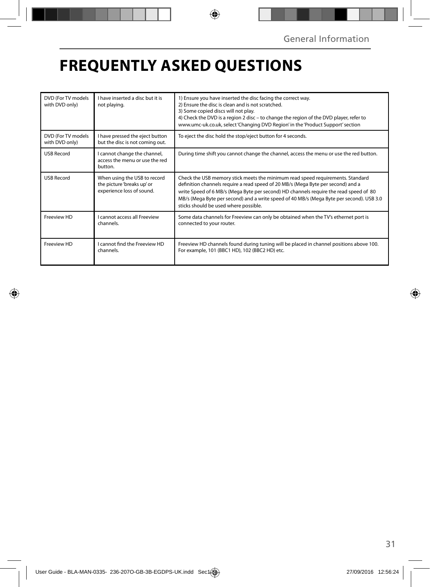# **FREQUENTLY ASKED QUESTIONS**

| DVD (For TV models<br>with DVD only) | I have inserted a disc but it is<br>not playing.                                        | 1) Ensure you have inserted the disc facing the correct way.<br>2) Ensure the disc is clean and is not scratched.<br>3) Some copied discs will not play.<br>4) Check the DVD is a region 2 disc - to change the region of the DVD player, refer to<br>www.umc-uk.co.uk, select 'Changing DVD Region' in the 'Product Support' section                                                            |
|--------------------------------------|-----------------------------------------------------------------------------------------|--------------------------------------------------------------------------------------------------------------------------------------------------------------------------------------------------------------------------------------------------------------------------------------------------------------------------------------------------------------------------------------------------|
| DVD (For TV models<br>with DVD only) | I have pressed the eject button<br>but the disc is not coming out.                      | To eject the disc hold the stop/eject button for 4 seconds.                                                                                                                                                                                                                                                                                                                                      |
| <b>USB Record</b>                    | I cannot change the channel,<br>access the menu or use the red<br>button.               | During time shift you cannot change the channel, access the menu or use the red button.                                                                                                                                                                                                                                                                                                          |
| <b>USB Record</b>                    | When using the USB to record<br>the picture 'breaks up' or<br>experience loss of sound. | Check the USB memory stick meets the minimum read speed requirements. Standard<br>definition channels require a read speed of 20 MB/s (Mega Byte per second) and a<br>write Speed of 6 MB/s (Mega Byte per second) HD channels require the read speed of 80<br>MB/s (Mega Byte per second) and a write speed of 40 MB/s (Mega Byte per second). USB 3.0<br>sticks should be used where possible. |
| Freeview HD                          | I cannot access all Freeview<br>channels.                                               | Some data channels for Freeview can only be obtained when the TV's ethernet port is<br>connected to your router.                                                                                                                                                                                                                                                                                 |
| Freeview HD                          | I cannot find the Freeview HD<br>channels.                                              | Freeview HD channels found during tuning will be placed in channel positions above 100.<br>For example, 101 (BBC1 HD), 102 (BBC2 HD) etc.                                                                                                                                                                                                                                                        |

◈

◈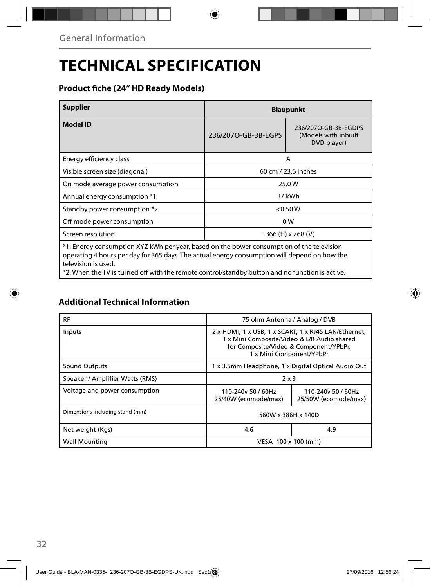# **TECHNICAL SPECIFICATION**

## **Product fi che (24" HD Ready Models)**

| <b>Supplier</b>                   | <b>Blaupunkt</b>    |                                                             |  |
|-----------------------------------|---------------------|-------------------------------------------------------------|--|
| <b>Model ID</b>                   | 236/2070-GB-3B-EGPS | 236/2070-GB-3B-EGDPS<br>(Models with inbuilt<br>DVD player) |  |
| Energy efficiency class           | A                   |                                                             |  |
| Visible screen size (diagonal)    | 60 cm / 23.6 inches |                                                             |  |
| On mode average power consumption | 25.0W               |                                                             |  |
| Annual energy consumption *1      | 37 kWh              |                                                             |  |
| Standby power consumption *2      | < 0.50 W            |                                                             |  |
| Off mode power consumption        | 0 <sub>W</sub>      |                                                             |  |
| Screen resolution                 | 1366 (H) x 768 (V)  |                                                             |  |
|                                   |                     |                                                             |  |

↔

\*1: Energy consumption XYZ kWh per year, based on the power consumption of the television operating 4 hours per day for 365 days. The actual energy consumption will depend on how the television is used.

\*2: When the TV is turned off with the remote control/standby button and no function is active.

## **Additional Technical Information**

| RF                              | 75 ohm Antenna / Analog / DVB                                                                                                                                             |     |  |
|---------------------------------|---------------------------------------------------------------------------------------------------------------------------------------------------------------------------|-----|--|
| Inputs                          | 2 x HDMI, 1 x USB, 1 x SCART, 1 x RJ45 LAN/Ethernet,<br>1 x Mini Composite/Video & L/R Audio shared<br>for Composite/Video & Component/YPbPr,<br>1 x Mini Component/YPbPr |     |  |
| Sound Outputs                   | 1 x 3.5mm Headphone, 1 x Digital Optical Audio Out                                                                                                                        |     |  |
| Speaker / Amplifier Watts (RMS) | $2 \times 3$                                                                                                                                                              |     |  |
| Voltage and power consumption   | 110-240y 50 / 60Hz<br>110-240y 50 / 60Hz<br>25/40W (ecomode/max)<br>25/50W (ecomode/max)                                                                                  |     |  |
| Dimensions including stand (mm) | 560W x 386H x 140D                                                                                                                                                        |     |  |
| Net weight (Kgs)                | 4.6                                                                                                                                                                       | 4.9 |  |
| <b>Wall Mounting</b>            | VESA 100 x 100 (mm)                                                                                                                                                       |     |  |

◈

32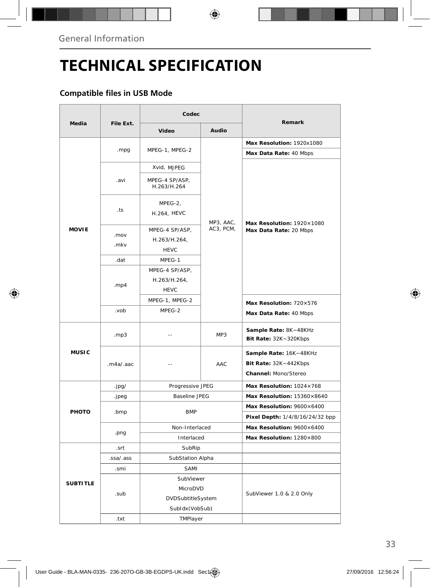# **TECHNICAL SPECIFICATION**

◈

## **Compatible files in USB Mode**

| Media           | File Ext.    | Codec                                         |                        |                                                                         |
|-----------------|--------------|-----------------------------------------------|------------------------|-------------------------------------------------------------------------|
|                 |              | Video                                         | Audio                  | Remark                                                                  |
| <b>MOVIE</b>    | .mpg         |                                               |                        | Max Resolution: 1920x1080                                               |
|                 |              | MPEG-1, MPEG-2                                | MP3, AAC,<br>AC3, PCM, | Max Data Rate: 40 Mbps                                                  |
|                 | .avi         | Xvid, MJPEG                                   |                        | Max Resolution: 1920×1080<br>Max Data Rate: 20 Mbps                     |
|                 |              | MPEG-4 SP/ASP,<br>H.263/H.264                 |                        |                                                                         |
|                 | .ts          | MPEG-2,<br><b>H.264, HEVC</b>                 |                        |                                                                         |
|                 | .mov<br>.mkv | MPEG-4 SP/ASP,<br>H.263/H.264,<br><b>HEVC</b> |                        |                                                                         |
|                 | .dat         | MPEG-1                                        |                        |                                                                         |
|                 | mp4          | MPEG-4 SP/ASP,<br>H.263/H.264,<br><b>HEVC</b> |                        |                                                                         |
|                 |              | MPEG-1, MPEG-2                                |                        | Max Resolution: 720×576                                                 |
|                 | .vob         | MPEG-2                                        |                        | Max Data Rate: 40 Mbps                                                  |
| <b>MUSIC</b>    | .mp3         | $\overline{a}$                                | MP3                    | Sample Rate: 8K~48KHz<br>Bit Rate: 32K~320Kbps                          |
|                 | .m4a/.aac    | $\overline{a}$                                | AAC                    | Sample Rate: 16K~48KHz<br>Bit Rate: 32K~442Kbps<br>Channel: Mono/Stereo |
| PHOTO           | .jpg/        | Progressive JPEG                              |                        | Max Resolution: 1024×768                                                |
|                 | .jpeg        | <b>Baseline JPEG</b>                          |                        | Max Resolution: 15360×8640                                              |
|                 | .bmp         | <b>BMP</b>                                    |                        | Max Resolution: 9600×6400<br>Pixel Depth: 1/4/8/16/24/32 bpp            |
|                 | .png         | Non-Interlaced                                |                        | Max Resolution: 9600×6400                                               |
|                 |              | Interlaced                                    |                        | Max Resolution: 1280×800                                                |
| <b>SUBTITLE</b> | .srt         | SubRip                                        |                        |                                                                         |
|                 | .ssa/.ass    | SubStation Alpha                              |                        |                                                                         |
|                 | .smi         | SAMI                                          |                        |                                                                         |
|                 | .sub         | SubViewer                                     |                        | SubViewer 1.0 & 2.0 Only                                                |
|                 |              | MicroDVD                                      |                        |                                                                         |
|                 |              | DVDSubtitleSystem                             |                        |                                                                         |
|                 |              | SubIdx(VobSub)                                |                        |                                                                         |
|                 | .txt         | TMPlayer                                      |                        |                                                                         |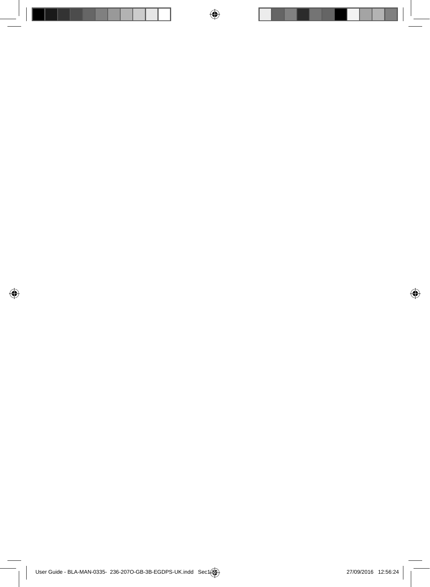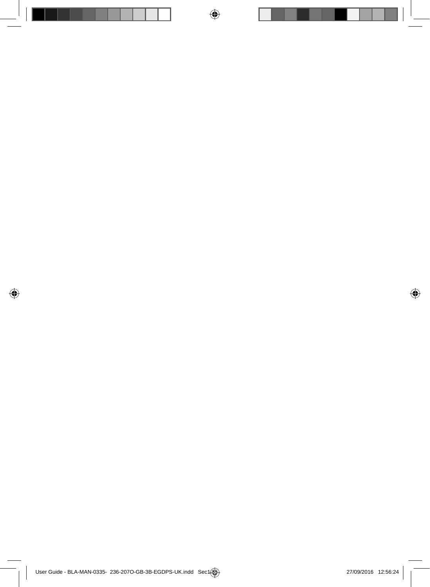